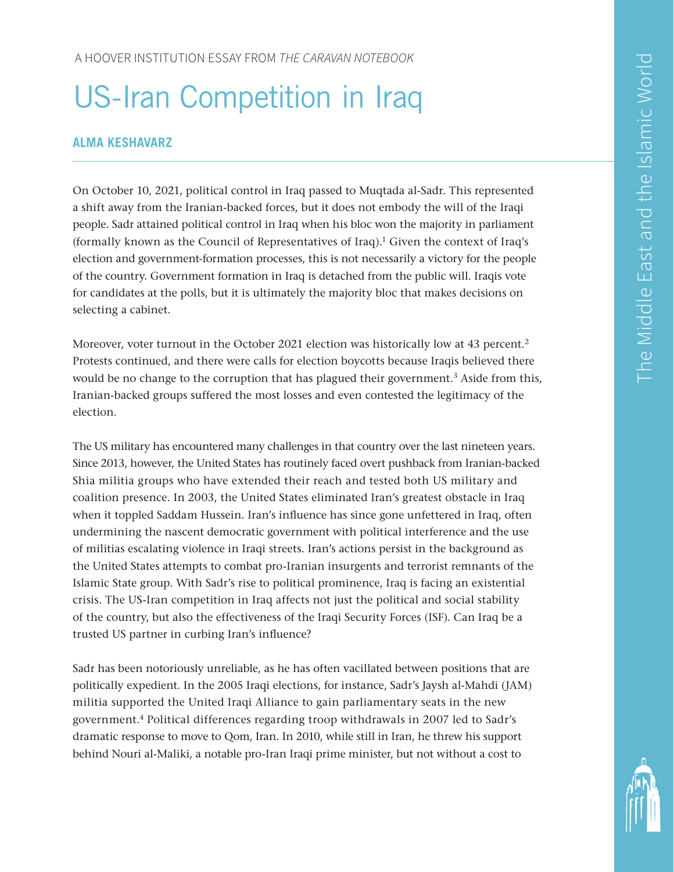# US-Iran Competition in Iraq

## **ALMA KESHAVARZ**

On October 10, 2021, political control in Iraq passed to Muqtada al-Sadr. This represented a shift away from the Iranian-backed forces, but it does not embody the will of the Iraqi people. Sadr attained political control in Iraq when his bloc won the majority in parliament (formally known as the Council of Representatives of Iraq).<sup>1</sup> Given the context of Iraq's election and government-formation processes, this is not necessarily a victory for the people of the country. Government formation in Iraq is detached from the public will. Iraqis vote for candidates at the polls, but it is ultimately the majority bloc that makes decisions on selecting a cabinet.

Moreover, voter turnout in the October 2021 election was historically low at 43 percent.<sup>2</sup> Protests continued, and there were calls for election boycotts because Iraqis believed there would be no change to the corruption that has plagued their government.<sup>3</sup> Aside from this, Iranian-backed groups suffered the most losses and even contested the legitimacy of the election.

The US military has encountered many challenges in that country over the last nineteen years. Since 2013, however, the United States has routinely faced overt pushback from Iranian-backed Shia militia groups who have extended their reach and tested both US military and coalition presence. In 2003, the United States eliminated Iran's greatest obstacle in Iraq when it toppled Saddam Hussein. Iran's influence has since gone unfettered in Iraq, often undermining the nascent democratic government with political interference and the use of militias escalating violence in Iraqi streets. Iran's actions persist in the background as the United States attempts to combat pro-Iranian insurgents and terrorist remnants of the Islamic State group. With Sadr's rise to political prominence, Iraq is facing an existential crisis. The US-Iran competition in Iraq affects not just the political and social stability of the country, but also the effectiveness of the Iraqi Security Forces (ISF). Can Iraq be a trusted US partner in curbing Iran's influence?

Sadr has been notoriously unreliable, as he has often vacillated between positions that are politically expedient. In the 2005 Iraqi elections, for instance, Sadr's Jaysh al-Mahdi (JAM) militia supported the United Iraqi Alliance to gain parliamentary seats in the new government.4 Political differences regarding troop withdrawals in 2007 led to Sadr's dramatic response to move to Qom, Iran. In 2010, while still in Iran, he threw his support behind Nouri al-Maliki, a notable pro-Iran Iraqi prime minister, but not without a cost to

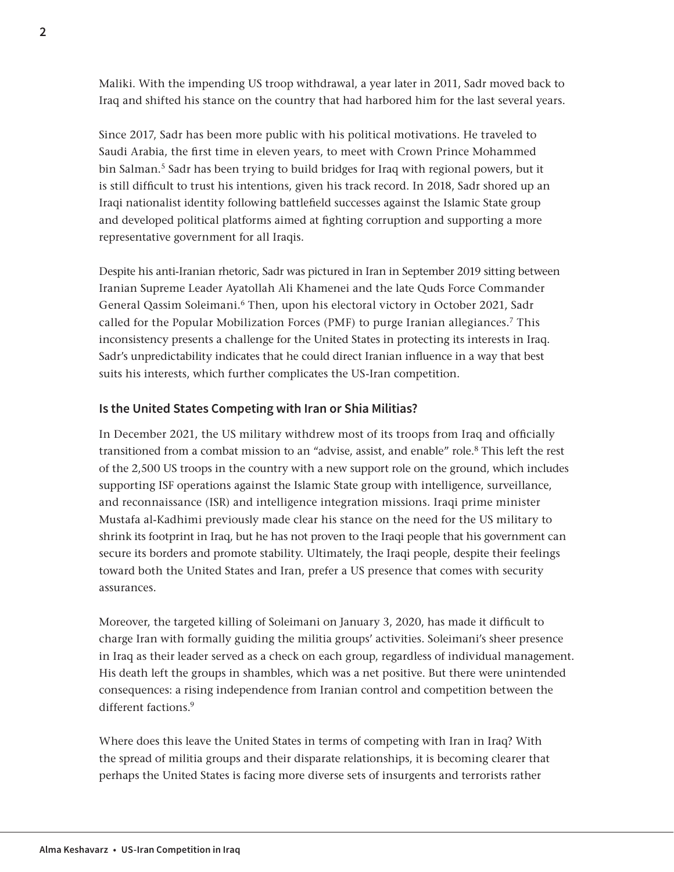Maliki. With the impending US troop withdrawal, a year later in 2011, Sadr moved back to Iraq and shifted his stance on the country that had harbored him for the last several years.

Since 2017, Sadr has been more public with his political motivations. He traveled to Saudi Arabia, the first time in eleven years, to meet with Crown Prince Mohammed bin Salman.<sup>5</sup> Sadr has been trying to build bridges for Iraq with regional powers, but it is still difficult to trust his intentions, given his track record. In 2018, Sadr shored up an Iraqi nationalist identity following battlefield successes against the Islamic State group and developed political platforms aimed at fighting corruption and supporting a more representative government for all Iraqis.

Despite his anti-Iranian rhetoric, Sadr was pictured in Iran in September 2019 sitting between Iranian Supreme Leader Ayatollah Ali Khamenei and the late Quds Force Commander General Qassim Soleimani.6 Then, upon his electoral victory in October 2021, Sadr called for the Popular Mobilization Forces (PMF) to purge Iranian allegiances.<sup>7</sup> This inconsistency presents a challenge for the United States in protecting its interests in Iraq. Sadr's unpredictability indicates that he could direct Iranian influence in a way that best suits his interests, which further complicates the US-Iran competition.

## **Is the United States Competing with Iran or Shia Militias?**

In December 2021, the US military withdrew most of its troops from Iraq and officially transitioned from a combat mission to an "advise, assist, and enable" role.8 This left the rest of the 2,500 US troops in the country with a new support role on the ground, which includes supporting ISF operations against the Islamic State group with intelligence, surveillance, and reconnaissance (ISR) and intelligence integration missions. Iraqi prime minister Mustafa al-Kadhimi previously made clear his stance on the need for the US military to shrink its footprint in Iraq, but he has not proven to the Iraqi people that his government can secure its borders and promote stability. Ultimately, the Iraqi people, despite their feelings toward both the United States and Iran, prefer a US presence that comes with security assurances.

Moreover, the targeted killing of Soleimani on January 3, 2020, has made it difficult to charge Iran with formally guiding the militia groups' activities. Soleimani's sheer presence in Iraq as their leader served as a check on each group, regardless of individual management. His death left the groups in shambles, which was a net positive. But there were unintended consequences: a rising independence from Iranian control and competition between the different factions.9

Where does this leave the United States in terms of competing with Iran in Iraq? With the spread of militia groups and their disparate relationships, it is becoming clearer that perhaps the United States is facing more diverse sets of insurgents and terrorists rather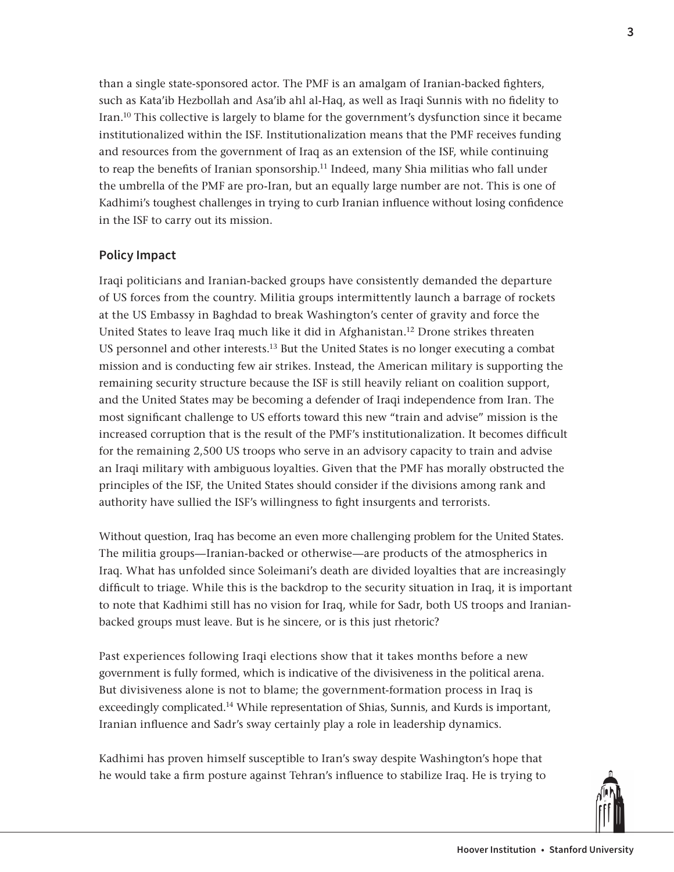than a single state-sponsored actor. The PMF is an amalgam of Iranian-backed fighters, such as Kata'ib Hezbollah and Asa'ib ahl al-Haq, as well as Iraqi Sunnis with no fidelity to Iran.10 This collective is largely to blame for the government's dysfunction since it became institutionalized within the ISF. Institutionalization means that the PMF receives funding and resources from the government of Iraq as an extension of the ISF, while continuing to reap the benefits of Iranian sponsorship.<sup>11</sup> Indeed, many Shia militias who fall under the umbrella of the PMF are pro-Iran, but an equally large number are not. This is one of Kadhimi's toughest challenges in trying to curb Iranian influence without losing confidence in the ISF to carry out its mission.

## **Policy Impact**

Iraqi politicians and Iranian-backed groups have consistently demanded the departure of US forces from the country. Militia groups intermittently launch a barrage of rockets at the US Embassy in Baghdad to break Washington's center of gravity and force the United States to leave Iraq much like it did in Afghanistan.12 Drone strikes threaten US personnel and other interests.<sup>13</sup> But the United States is no longer executing a combat mission and is conducting few air strikes. Instead, the American military is supporting the remaining security structure because the ISF is still heavily reliant on coalition support, and the United States may be becoming a defender of Iraqi independence from Iran. The most significant challenge to US efforts toward this new "train and advise" mission is the increased corruption that is the result of the PMF's institutionalization. It becomes difficult for the remaining 2,500 US troops who serve in an advisory capacity to train and advise an Iraqi military with ambiguous loyalties. Given that the PMF has morally obstructed the principles of the ISF, the United States should consider if the divisions among rank and authority have sullied the ISF's willingness to fight insurgents and terrorists.

Without question, Iraq has become an even more challenging problem for the United States. The militia groups—Iranian-backed or otherwise—are products of the atmospherics in Iraq. What has unfolded since Soleimani's death are divided loyalties that are increasingly difficult to triage. While this is the backdrop to the security situation in Iraq, it is important to note that Kadhimi still has no vision for Iraq, while for Sadr, both US troops and Iranianbacked groups must leave. But is he sincere, or is this just rhetoric?

Past experiences following Iraqi elections show that it takes months before a new government is fully formed, which is indicative of the divisiveness in the political arena. But divisiveness alone is not to blame; the government-formation process in Iraq is exceedingly complicated.14 While representation of Shias, Sunnis, and Kurds is important, Iranian influence and Sadr's sway certainly play a role in leadership dynamics.

Kadhimi has proven himself susceptible to Iran's sway despite Washington's hope that he would take a firm posture against Tehran's influence to stabilize Iraq. He is trying to

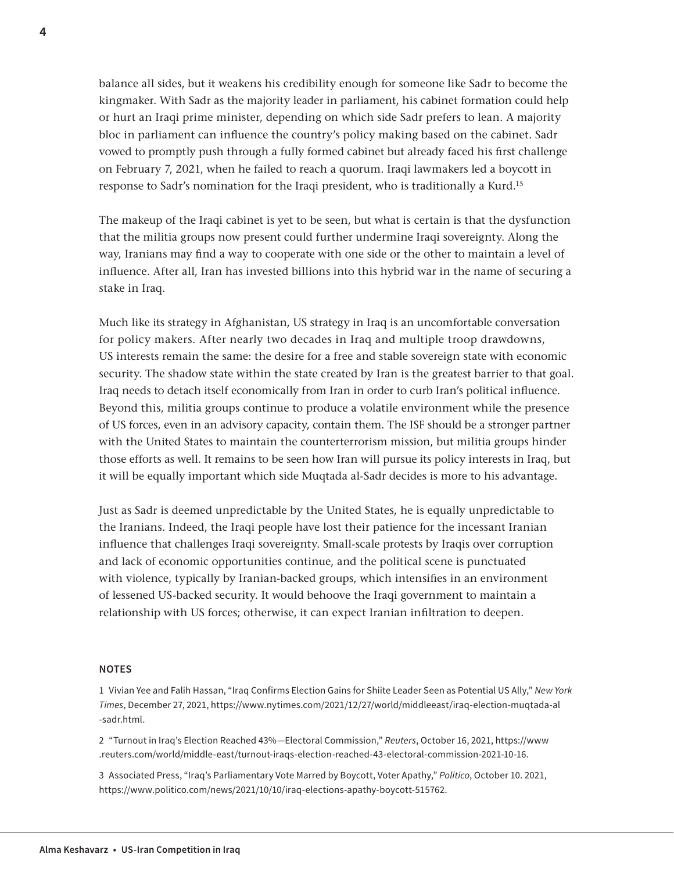balance all sides, but it weakens his credibility enough for someone like Sadr to become the kingmaker. With Sadr as the majority leader in parliament, his cabinet formation could help or hurt an Iraqi prime minister, depending on which side Sadr prefers to lean. A majority bloc in parliament can influence the country's policy making based on the cabinet. Sadr vowed to promptly push through a fully formed cabinet but already faced his first challenge on February 7, 2021, when he failed to reach a quorum. Iraqi lawmakers led a boycott in response to Sadr's nomination for the Iraqi president, who is traditionally a Kurd.15

The makeup of the Iraqi cabinet is yet to be seen, but what is certain is that the dysfunction that the militia groups now present could further undermine Iraqi sovereignty. Along the way, Iranians may find a way to cooperate with one side or the other to maintain a level of influence. After all, Iran has invested billions into this hybrid war in the name of securing a stake in Iraq.

Much like its strategy in Afghanistan, US strategy in Iraq is an uncomfortable conversation for policy makers. After nearly two decades in Iraq and multiple troop drawdowns, US interests remain the same: the desire for a free and stable sovereign state with economic security. The shadow state within the state created by Iran is the greatest barrier to that goal. Iraq needs to detach itself economically from Iran in order to curb Iran's political influence. Beyond this, militia groups continue to produce a volatile environment while the presence of US forces, even in an advisory capacity, contain them. The ISF should be a stronger partner with the United States to maintain the counterterrorism mission, but militia groups hinder those efforts as well. It remains to be seen how Iran will pursue its policy interests in Iraq, but it will be equally important which side Muqtada al-Sadr decides is more to his advantage.

Just as Sadr is deemed unpredictable by the United States, he is equally unpredictable to the Iranians. Indeed, the Iraqi people have lost their patience for the incessant Iranian influence that challenges Iraqi sovereignty. Small-scale protests by Iraqis over corruption and lack of economic opportunities continue, and the political scene is punctuated with violence, typically by Iranian-backed groups, which intensifies in an environment of lessened US-backed security. It would behoove the Iraqi government to maintain a relationship with US forces; otherwise, it can expect Iranian infiltration to deepen.

#### **NOTES**

1 [Vivian Yee](https://www.nytimes.com/by/vivian-yee) and Falih Hassan, "Iraq Confirms Election Gains for Shiite Leader Seen as Potential US Ally," *New York Times*, December 27, 2021, [https://www.nytimes.com/2021/12/27/world/middleeast/iraq-election-muqtada-al](https://www.nytimes.com/2021/12/27/world/middleeast/iraq-election-muqtada-al-sadr.html) [-sadr.html.](https://www.nytimes.com/2021/12/27/world/middleeast/iraq-election-muqtada-al-sadr.html)

2 "Turnout in Iraq's Election Reached 43%—Electoral Commission," *Reuters*, October 16, 2021, [https://www](https://www.reuters.com/world/middle-east/turnout-iraqs-election-reached-43-electoral-commission-2021-10-16) [.reuters.com/world/middle-east/turnout-iraqs-election-reached-43-electoral-commission-2021-10-16](https://www.reuters.com/world/middle-east/turnout-iraqs-election-reached-43-electoral-commission-2021-10-16).

3 Associated Press, "Iraq's Parliamentary Vote Marred by Boycott, Voter Apathy," *Politico*, October 10. 2021, <https://www.politico.com/news/2021/10/10/iraq-elections-apathy-boycott-515762>.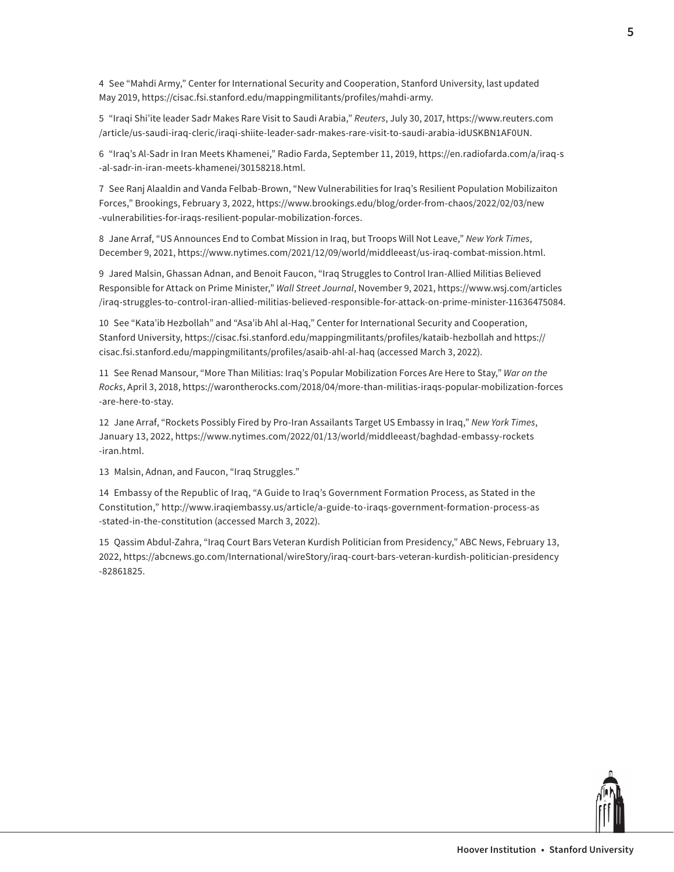4 See "Mahdi Army," Center for International Security and Cooperation, Stanford University, last updated May 2019, [https://cisac.fsi.stanford.edu/mappingmilitants/profiles/mahdi-army.](https://cisac.fsi.stanford.edu/mappingmilitants/profiles/mahdi-army)

5 "Iraqi Shi'ite leader Sadr Makes Rare Visit to Saudi Arabia," *Reuters*, July 30, 2017, [https://www.reuters.com](https://www.reuters.com/article/us-saudi-iraq-cleric/iraqi-shiite-leader-sadr-makes-rare-visit-to-saudi-arabia-idUSKBN1AF0UN) [/article/us-saudi-iraq-cleric/iraqi-shiite-leader-sadr-makes-rare-visit-to-saudi-arabia-idUSKBN1AF0UN](https://www.reuters.com/article/us-saudi-iraq-cleric/iraqi-shiite-leader-sadr-makes-rare-visit-to-saudi-arabia-idUSKBN1AF0UN).

6 "Iraq's Al-Sadr in Iran Meets Khamenei," Radio Farda, September 11, 2019, [https://en.radiofarda.com/a/iraq-s](https://en.radiofarda.com/a/iraq-s-al-sadr-in-iran-meets-khamenei/30158218.html) [-al-sadr-in-iran-meets-khamenei/30158218.html](https://en.radiofarda.com/a/iraq-s-al-sadr-in-iran-meets-khamenei/30158218.html).

7 See Ranj Alaaldin and Vanda Felbab-Brown, "New Vulnerabilities for Iraq's Resilient Population Mobilizaiton Forces," Brookings, February 3, 2022, [https://www.brookings.edu/blog/order-from-chaos/2022/02/03/new](https://www.brookings.edu/blog/order-from-chaos/2022/02/03/new-vulnerabilities-for-iraqs-resilient-popular-mobilization-forces) [-vulnerabilities-for-iraqs-resilient-popular-mobilization-forces](https://www.brookings.edu/blog/order-from-chaos/2022/02/03/new-vulnerabilities-for-iraqs-resilient-popular-mobilization-forces).

8 Jane Arraf, "US Announces End to Combat Mission in Iraq, but Troops Will Not Leave," *New York Times*, December 9, 2021, [https://www.nytimes.com/2021/12/09/world/middleeast/us-iraq-combat-mission.html.](https://www.nytimes.com/2021/12/09/world/middleeast/us-iraq-combat-mission.html)

9 Jared Malsin, Ghassan Adnan, and Benoit Faucon, "Iraq Struggles to Control Iran-Allied Militias Believed Responsible for Attack on Prime Minister," *Wall Street Journal*, November 9, 2021, [https://www.wsj.com/articles](https://www.wsj.com/articles/iraq-struggles-to-control-iran-allied-militias-believed-responsible-for-attack-on-prime-minister-11636475084) [/iraq-struggles-to-control-iran-allied-militias-believed-responsible-for-attack-on-prime-minister-11636475084.](https://www.wsj.com/articles/iraq-struggles-to-control-iran-allied-militias-believed-responsible-for-attack-on-prime-minister-11636475084)

10 See "Kata'ib Hezbollah" and "Asa'ib Ahl al-Haq," Center for International Security and Cooperation, Stanford University, <https://cisac.fsi.stanford.edu/mappingmilitants/profiles/kataib-hezbollah> and [https://](https://cisac.fsi.stanford.edu/mappingmilitants/profiles/asaib-ahl-al-haq) [cisac.fsi.stanford.edu/mappingmilitants/profiles/asaib-ahl-al-haq](https://cisac.fsi.stanford.edu/mappingmilitants/profiles/asaib-ahl-al-haq) (accessed March 3, 2022).

11 See Renad Mansour, "More Than Militias: Iraq's Popular Mobilization Forces Are Here to Stay," *War on the Rocks*, April 3, 2018, [https://warontherocks.com/2018/04/more-than-militias-iraqs-popular-mobilization-forces](https://warontherocks.com/2018/04/more-than-militias-iraqs-popular-mobilization-forces-are-here-to-stay/) [-are-here-to-stay](https://warontherocks.com/2018/04/more-than-militias-iraqs-popular-mobilization-forces-are-here-to-stay/).

12 Jane Arraf, "Rockets Possibly Fired by Pro-Iran Assailants Target US Embassy in Iraq," *New York Times*, January 13, 2022, [https://www.nytimes.com/2022/01/13/world/middleeast/baghdad-embassy-rockets](https://www.nytimes.com/2022/01/13/world/middleeast/baghdad-embassy-rockets-iran.html) [-iran.html.](https://www.nytimes.com/2022/01/13/world/middleeast/baghdad-embassy-rockets-iran.html)

13 Malsin, Adnan, and Faucon, "Iraq Struggles."

14 Embassy of the Republic of Iraq, "A Guide to Iraq's Government Formation Process, as Stated in the Constitution," [http://www.iraqiembassy.us/article/a-guide-to-iraqs-government-formation-process-as](http://www.iraqiembassy.us/article/a-guide-to-iraqs-government-formation-process-as-stated-in-the-constitution) [-stated-in-the-constitution](http://www.iraqiembassy.us/article/a-guide-to-iraqs-government-formation-process-as-stated-in-the-constitution) (accessed March 3, 2022).

15 Qassim Abdul-Zahra, "Iraq Court Bars Veteran Kurdish Politician from Presidency," ABC News, February 13, 2022, [https://abcnews.go.com/International/wireStory/iraq-court-bars-veteran-kurdish-politician-presidency](https://abcnews.go.com/International/wireStory/iraq-court-bars-veteran-kurdish-politician-presidency-82861825) [-82861825.](https://abcnews.go.com/International/wireStory/iraq-court-bars-veteran-kurdish-politician-presidency-82861825)

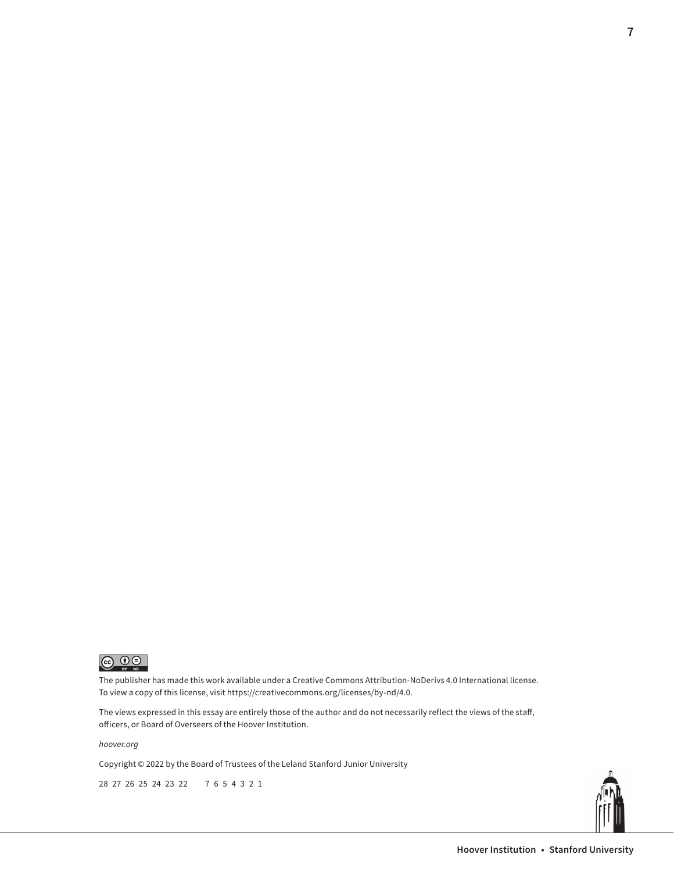

The publisher has made this work available under a Creative Commons Attribution-NoDerivs 4.0 International license. To view a copy of this license, visit [https://creativecommons.org/licenses/by-nd/4.0.](https://creativecommons.org/licenses/by-nd/4.0)

The views expressed in this essay are entirely those of the author and do not necessarily reflect the views of the staff, officers, or Board of Overseers of the Hoover Institution.

*[hoover.org](https://www.hoover.org/)*

Copyright © 2022 by the Board of Trustees of the Leland Stanford Junior University

28 27 26 25 24 23 22 7 6 5 4 3 2 1



**7**